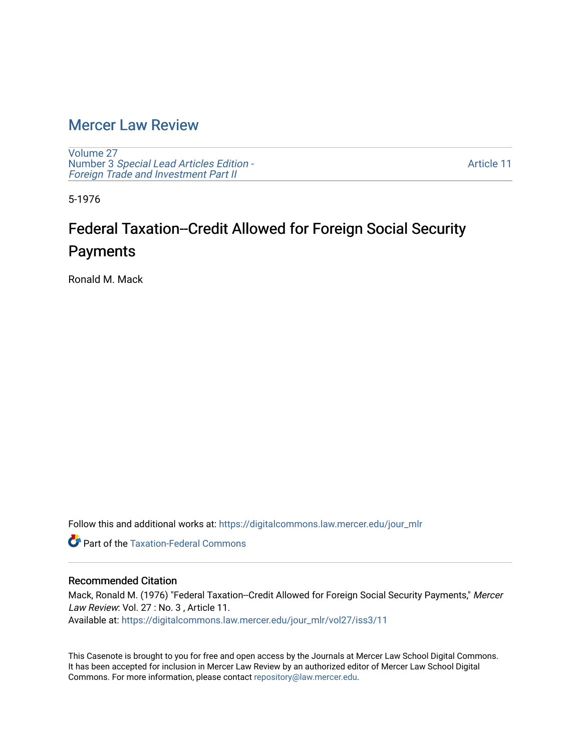### [Mercer Law Review](https://digitalcommons.law.mercer.edu/jour_mlr)

[Volume 27](https://digitalcommons.law.mercer.edu/jour_mlr/vol27) Number 3 [Special Lead Articles Edition -](https://digitalcommons.law.mercer.edu/jour_mlr/vol27/iss3) [Foreign Trade and Investment Part II](https://digitalcommons.law.mercer.edu/jour_mlr/vol27/iss3)

[Article 11](https://digitalcommons.law.mercer.edu/jour_mlr/vol27/iss3/11) 

5-1976

# Federal Taxation--Credit Allowed for Foreign Social Security Payments

Ronald M. Mack

Follow this and additional works at: [https://digitalcommons.law.mercer.edu/jour\\_mlr](https://digitalcommons.law.mercer.edu/jour_mlr?utm_source=digitalcommons.law.mercer.edu%2Fjour_mlr%2Fvol27%2Fiss3%2F11&utm_medium=PDF&utm_campaign=PDFCoverPages)

**C** Part of the [Taxation-Federal Commons](http://network.bepress.com/hgg/discipline/881?utm_source=digitalcommons.law.mercer.edu%2Fjour_mlr%2Fvol27%2Fiss3%2F11&utm_medium=PDF&utm_campaign=PDFCoverPages)

#### Recommended Citation

Mack, Ronald M. (1976) "Federal Taxation--Credit Allowed for Foreign Social Security Payments," Mercer Law Review: Vol. 27 : No. 3 , Article 11. Available at: [https://digitalcommons.law.mercer.edu/jour\\_mlr/vol27/iss3/11](https://digitalcommons.law.mercer.edu/jour_mlr/vol27/iss3/11?utm_source=digitalcommons.law.mercer.edu%2Fjour_mlr%2Fvol27%2Fiss3%2F11&utm_medium=PDF&utm_campaign=PDFCoverPages) 

This Casenote is brought to you for free and open access by the Journals at Mercer Law School Digital Commons. It has been accepted for inclusion in Mercer Law Review by an authorized editor of Mercer Law School Digital Commons. For more information, please contact [repository@law.mercer.edu.](mailto:repository@law.mercer.edu)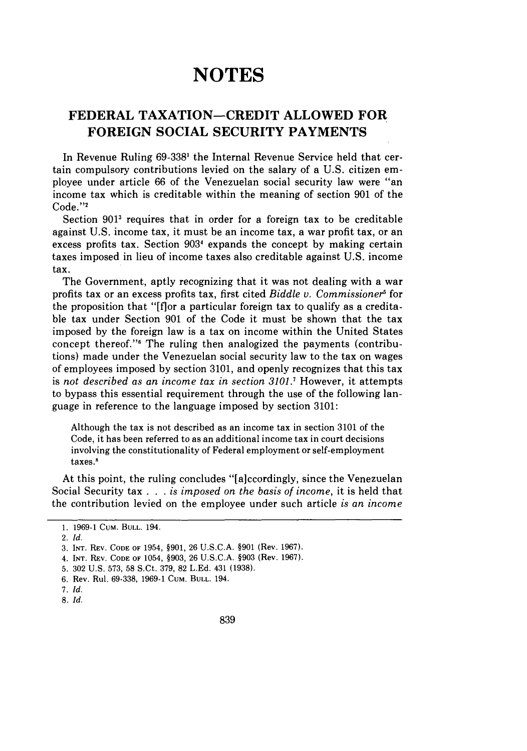## **NOTES**

### **FEDERAL TAXATION-CREDIT ALLOWED FOR FOREIGN SOCIAL SECURITY PAYMENTS**

In Revenue Ruling 69-338' the Internal Revenue Service held that certain compulsory contributions levied on the salary of a U.S. citizen employee under article 66 of the Venezuelan social security law were "an income tax which is creditable within the meaning of section 901 of the Code."'

Section **9011** requires that in order for a foreign tax to be creditable against U.S. income tax, it must be an income tax, a war profit tax, or an excess profits tax. Section **9034** expands the concept by making certain taxes imposed in lieu of income taxes also creditable against U.S. income tax.

The Government, aptly recognizing that it was not dealing with a war profits tax or an excess profits tax, first cited *Biddle v. Commissioner* for the proposition that "[flor a particular foreign tax to qualify as a creditable tax under Section 901 of the Code it must be shown that the tax imposed by the foreign law is a tax on income within the United States concept thereof."" The ruling then analogized the payments (contributions) made under the Venezuelan social security law to the tax on wages of employees imposed by section 3101, and openly recognizes that this tax is *not described as an income tax in section 3101.1* However, it attempts to bypass this essential requirement through the use of the following language in reference to the language imposed by section 3101:

Although the tax is not described as an income tax in section 3101 of the Code, it has been referred to as an additional income tax in court decisions involving the constitutionality of Federal employment or self-employment taxes.8

At this point, the ruling concludes "[aiccordingly, since the Venezuelan Social Security tax . . . *is imposed on the basis of income,* it is held that the contribution levied on the employee under such article *is an income*

7. **Id.**

**<sup>1. 1969-1</sup>** CUM. **BULL.** 194.

<sup>2.</sup> Id.

<sup>3.</sup> **INT.** REV. **CODE OF** 1954, §901, 26 **U.S.C.A.** §901 (Rev. 1967).

<sup>4.</sup> **INT.** REV. **CODE** OF 1054, §903, 26 U.S.C.A. §903 (Rev. 1967).

<sup>5. 302</sup> U.S. 573, 58 S.Ct. 379, 82 L.Ed. 431 (1938).

<sup>6.</sup> Rev. Rul. 69-338, 1969-1 CUM. **BULL.** 194.

<sup>8.</sup> id.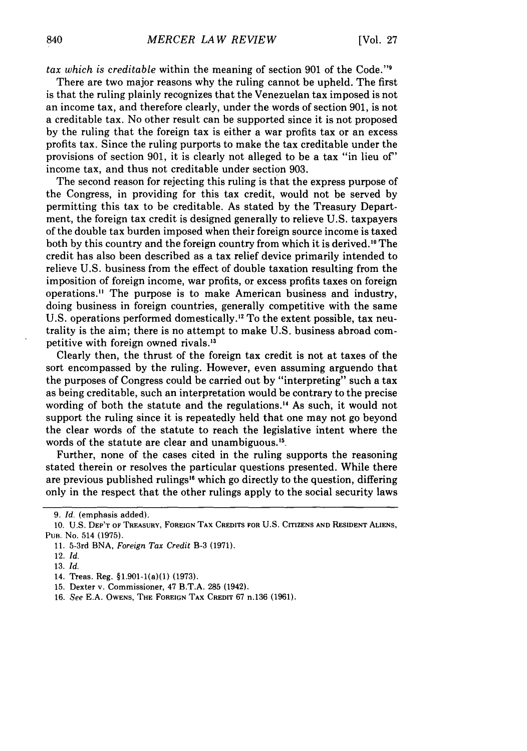*tax which is creditable* within the meaning of section 901 of the Code."<sup>9</sup>

There are two major reasons why the ruling cannot be upheld. The first is that the ruling plainly recognizes that the Venezuelan tax imposed is not an income tax, and therefore clearly, under the words of section 901, is not a creditable tax. No other result can be supported since it is not proposed by the ruling that the foreign tax is either a war profits tax or an excess profits tax. Since the ruling purports to make the tax creditable under the provisions of section 901, it is clearly not alleged to be a tax "in lieu *of'* income tax, and thus not creditable under section 903.

The second reason for rejecting this ruling is that the express purpose of the Congress, in providing for this tax credit, would not be served by permitting this tax to be creditable. As stated by the Treasury Department, the foreign tax credit is designed generally to relieve U.S. taxpayers of the double tax burden imposed when their foreign source income is taxed both by this country and the foreign country from which it is derived. I° The credit has also been described as a tax relief device primarily intended to relieve U.S. business from the effect of double taxation resulting from the imposition of foreign income, war profits, or excess profits taxes on foreign operations.<sup>11</sup> The purpose is to make American business and industry, doing business in foreign countries, generally competitive with the same U.S. operations performed domestically."2 To the extent possible, tax neutrality is the aim; there is no attempt to make U.S. business abroad competitive with foreign owned rivals.<sup>13</sup>

Clearly then, the thrust of the foreign tax credit is not at taxes of the sort encompassed by the ruling. However, even assuming arguendo that the purposes of Congress could be carried out by "interpreting" such a tax as being creditable, such an interpretation would be contrary to the precise wording of both the statute and the regulations." As such, it would not support the ruling since it is repeatedly held that one may not go beyond the clear words of the statute to reach the legislative intent where the words of the statute are clear and unambiguous. 15.

Further, none of the cases cited in the ruling supports the reasoning stated therein or resolves the particular questions presented. While there are previous published rulings" which go directly to the question, differing only in the respect that the other rulings apply to the social security laws

16. *See* E.A. OWENS, THE **FOREIGN** TAX **CREDIT** 67 n.136 (1961).

<sup>9.</sup> *Id.* (emphasis added).

**<sup>10.</sup>** U.S. **DEP'T** OF TREASURY, FOREIGN TAX **CREDITS FOR U.S.** CITIZENS **AND RESIDENT ALIENS,** PuB. No. 514 (1975).

<sup>11. 5-3</sup>rd BNA, *Foreign Tax Credit* B-3 (1971).

<sup>12.</sup> *Id.*

<sup>13.</sup> *Id.*

<sup>14.</sup> Treas. Reg. §1.901-1(a)(1) (1973).

<sup>15.</sup> Dexter v. Commissioner, 47 B.T.A. 285 (1942).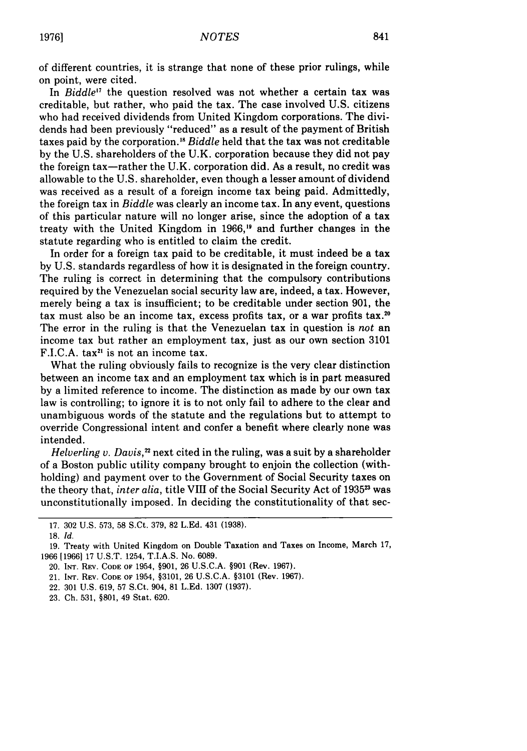841

of different countries, it is strange that none of these prior rulings, while on point, were cited.

In *Biddle'7* the question resolved was not whether a certain tax was creditable, but rather, who paid the tax. The case involved U.S. citizens who had received dividends from United Kingdom corporations. The dividends had been previously "reduced" as a result of the payment of British taxes paid by the corporation.<sup>18</sup> Biddle held that the tax was not creditable by the U.S. shareholders of the U.K. corporation because they did not pay the foreign tax—rather the U.K. corporation did. As a result, no credit was allowable to the U.S. shareholder, even though a lesser amount of dividend was received as a result of a foreign income tax being paid. Admittedly, the foreign tax in *Biddle* was clearly an income tax. In any event, questions of this particular nature will no longer arise, since the adoption of a tax treaty with the United Kingdom in 1966,<sup>19</sup> and further changes in the statute regarding who is entitled to claim the credit.

In order for a foreign tax paid to be creditable, it must indeed be a tax by U.S. standards regardless of how it is designated in the foreign country. The ruling is correct in determining that the compulsory contributions required by the Venezuelan social security law are, indeed, a tax. However, merely being a tax is insufficient; to be creditable under section 901, the tax must also be an income tax, excess profits tax, or a war profits tax. <sup>20</sup> The error in the ruling is that the Venezuelan tax in question is *not* an income tax but rather an employment tax, just as our own section 3101 F.I.C.A. tax<sup>21</sup> is not an income tax.

What the ruling obviously fails to recognize is the very clear distinction between an income tax and an employment tax which is in part measured by a limited reference to income. The distinction as made by our own tax law is controlling; to ignore it is to not only fail to adhere to the clear and unambiguous words of the statute and the regulations but to attempt to override Congressional intent and confer a benefit where clearly none was intended.

*Helverling v. Davis*,<sup>22</sup> next cited in the ruling, was a suit by a shareholder of a Boston public utility company brought to enjoin the collection (withholding) and payment over to the Government of Social Security taxes on the theory that, *inter alia*, title VIII of the Social Security Act of 1935<sup>23</sup> was unconstitutionally imposed. In deciding the constitutionality of that sec-

<sup>17. 302</sup> U.S. 573, 58 S.Ct. 379, 82 L.Ed. 431 (1938).

<sup>18.</sup> *Id.*

<sup>19.</sup> Treaty with United Kingdom on Double Taxation and Taxes on Income, March 17, 1966 [1966] 17 U.S.T. 1254, T.I.A.S. No. 6089.

<sup>20.</sup> INT. REV. **CODE OF** 1954, §901, 26 U.S.C.A. §901 (Rev. 1967).

<sup>21.</sup> INT. REV. **CODE OF** 1954, §3101, 26 U.S.C.A. §3101 (Rev. 1967).

<sup>22.</sup> 301 U.S. 619, 57 S.Ct. 904, 81 L.Ed. 1307 (1937).

<sup>23.</sup> Ch. 531, §801, 49 Stat. 620.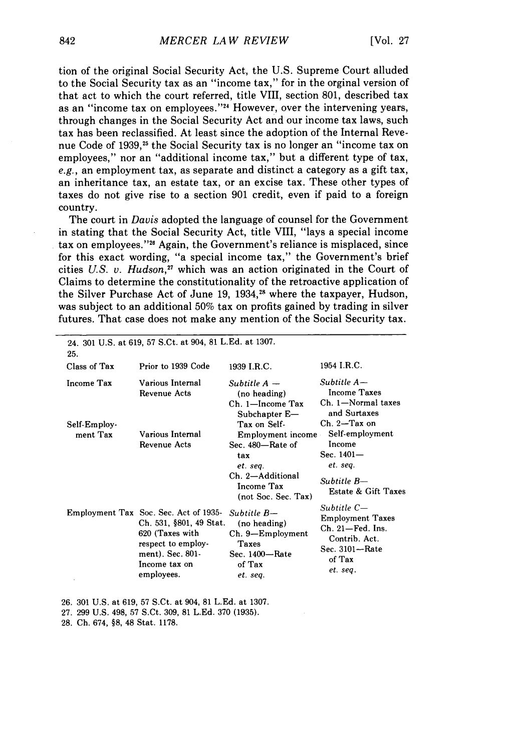tion of the original Social Security Act, the U.S. Supreme Court alluded to the Social Security tax as an "income tax," for in the orginal version of that act to which the court referred, title VIII, section 801, described tax as an "income tax on employees."<sup>24</sup> However, over the intervening vears, through changes in the Social Security Act and our income tax laws, such tax has been reclassified. At least since the adoption of the Internal Revenue Code of 1939,<sup>25</sup> the Social Security tax is no longer an "income tax on employees," nor an "additional income tax," but a different type of tax, e.g., an employment tax, as separate and distinct a category as a gift tax, an inheritance tax, an estate tax, or an excise tax. These other types of taxes do not give rise to a section 901 credit, even if paid to a foreign country.

The court in *Davis* adopted the language of counsel for the Government in stating that the Social Security Act, title VIII, "lays a special income tax on employees."<sup>26</sup> Again, the Government's reliance is misplaced, since for this exact wording, "a special income tax," the Government's brief cities *U.S. v. Hudson,"* which was an action originated in the Court of Claims to determine the constitutionality of the retroactive application of the Silver Purchase Act of June 19, 1934,<sup>28</sup> where the taxpayer, Hudson, was subject to an additional 50% tax on profits gained by trading in silver futures. That case does not make any mention of the Social Security tax.

| 25.                               | 24. 301 U.S. at 619, 57 S.Ct. at 904, 81 L.Ed. at 1307.                                                                                                      |                                                                                                                   |                                                                                                                         |
|-----------------------------------|--------------------------------------------------------------------------------------------------------------------------------------------------------------|-------------------------------------------------------------------------------------------------------------------|-------------------------------------------------------------------------------------------------------------------------|
| Class of Tax                      | Prior to 1939 Code                                                                                                                                           | 1939 I.R.C.                                                                                                       | 1954 I.R.C.                                                                                                             |
| <b>Income Tax</b><br>Self-Employ- | Various Internal<br>Revenue Acts                                                                                                                             | Subtitle $A -$<br>(no heading)<br>Ch. 1-Income Tax<br>Subchapter E-<br>Tax on Self-                               | $Subtitle$ $A-$<br>Income Taxes<br>Ch. 1-Normal taxes<br>and Surtaxes<br>$Ch. 2-Tax on$                                 |
| ment Tax                          | Various Internal<br><b>Revenue Acts</b>                                                                                                                      | Employment income<br>Sec. 480-Rate of<br>tax<br>et. sea.<br>Ch. 2-Additional<br>Income Tax<br>(not Soc. Sec. Tax) | Self-employment<br>Income<br>Sec. $1401 -$<br>et. seq.<br>Subtitle B-<br>Estate & Gift Taxes                            |
|                                   | Employment Tax Soc. Sec. Act of 1935-<br>Ch. 531, §801, 49 Stat.<br>620 (Taxes with<br>respect to employ-<br>ment). Sec. 801-<br>Income tax on<br>employees. | Subtitle B-<br>(no heading)<br>Ch. 9—Employment<br>Taxes<br>Sec. 1400-Rate<br>of Tax<br>et. seq.                  | Subtitle C—<br><b>Employment Taxes</b><br>$Ch. 21 - Fed.$ Ins.<br>Contrib. Act.<br>Sec. 3101-Rate<br>of Tax<br>et. seq. |

26. 301 U.S. at 619, 57 S.Ct. at 904, 81 L.Ed. at 1307.

27. 299 U.S. 498, 57 S.Ct. 309, 81 L.Ed. 370 (1935).

28. Ch. 674, §8, 48 Stat. 1178.